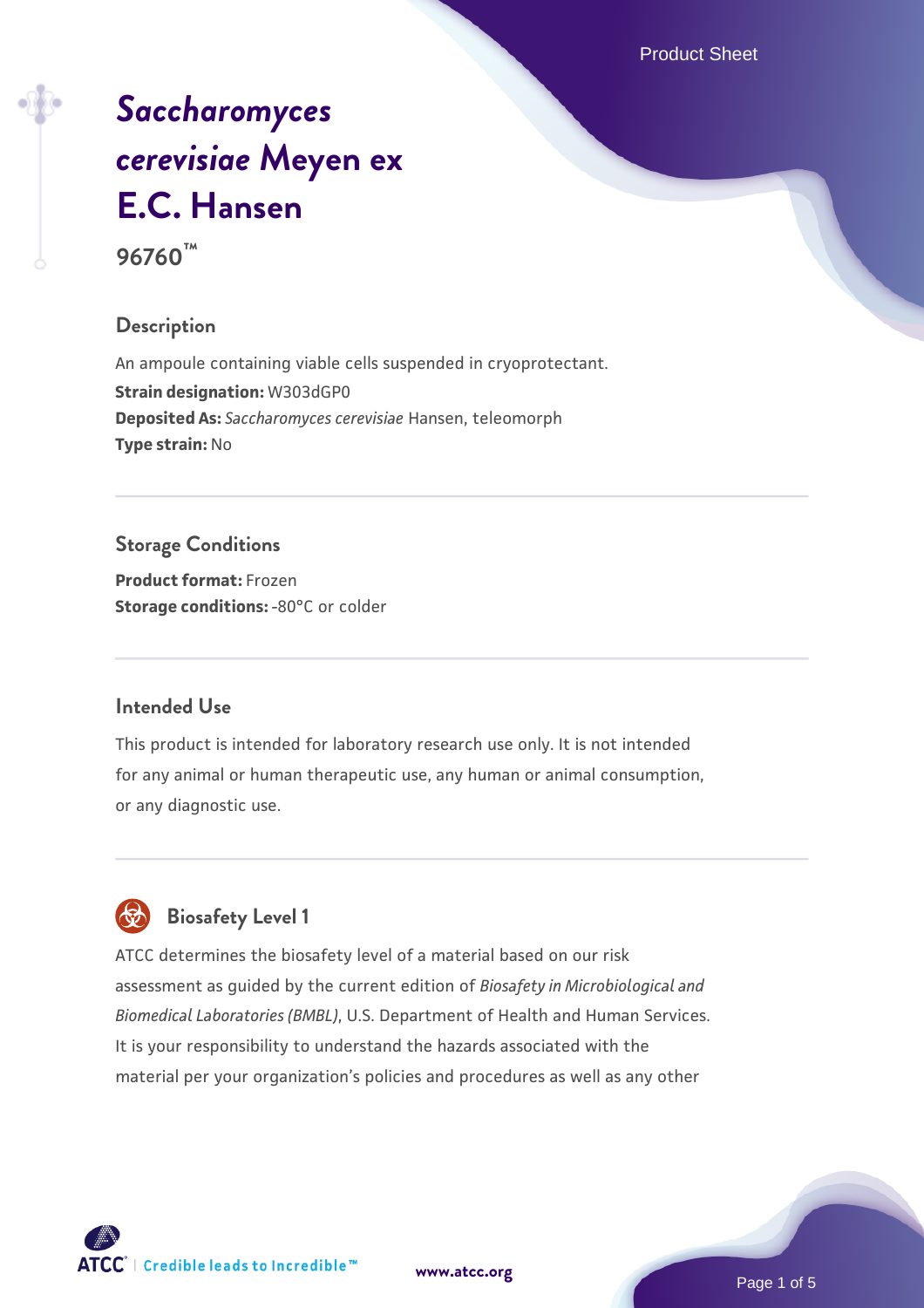Product Sheet

# *[Saccharomyces](https://www.atcc.org/products/96760) [cerevisiae](https://www.atcc.org/products/96760)* **[Meyen ex](https://www.atcc.org/products/96760) [E.C. Hansen](https://www.atcc.org/products/96760) 96760™**

# **Description**

An ampoule containing viable cells suspended in cryoprotectant. **Strain designation:** W303dGP0 **Deposited As:** *Saccharomyces cerevisiae* Hansen, teleomorph **Type strain:** No

# **Storage Conditions**

**Product format:** Frozen **Storage conditions: -80°C** or colder

#### **Intended Use**

This product is intended for laboratory research use only. It is not intended for any animal or human therapeutic use, any human or animal consumption, or any diagnostic use.



# **Biosafety Level 1**

ATCC determines the biosafety level of a material based on our risk assessment as guided by the current edition of *Biosafety in Microbiological and Biomedical Laboratories (BMBL)*, U.S. Department of Health and Human Services. It is your responsibility to understand the hazards associated with the material per your organization's policies and procedures as well as any other

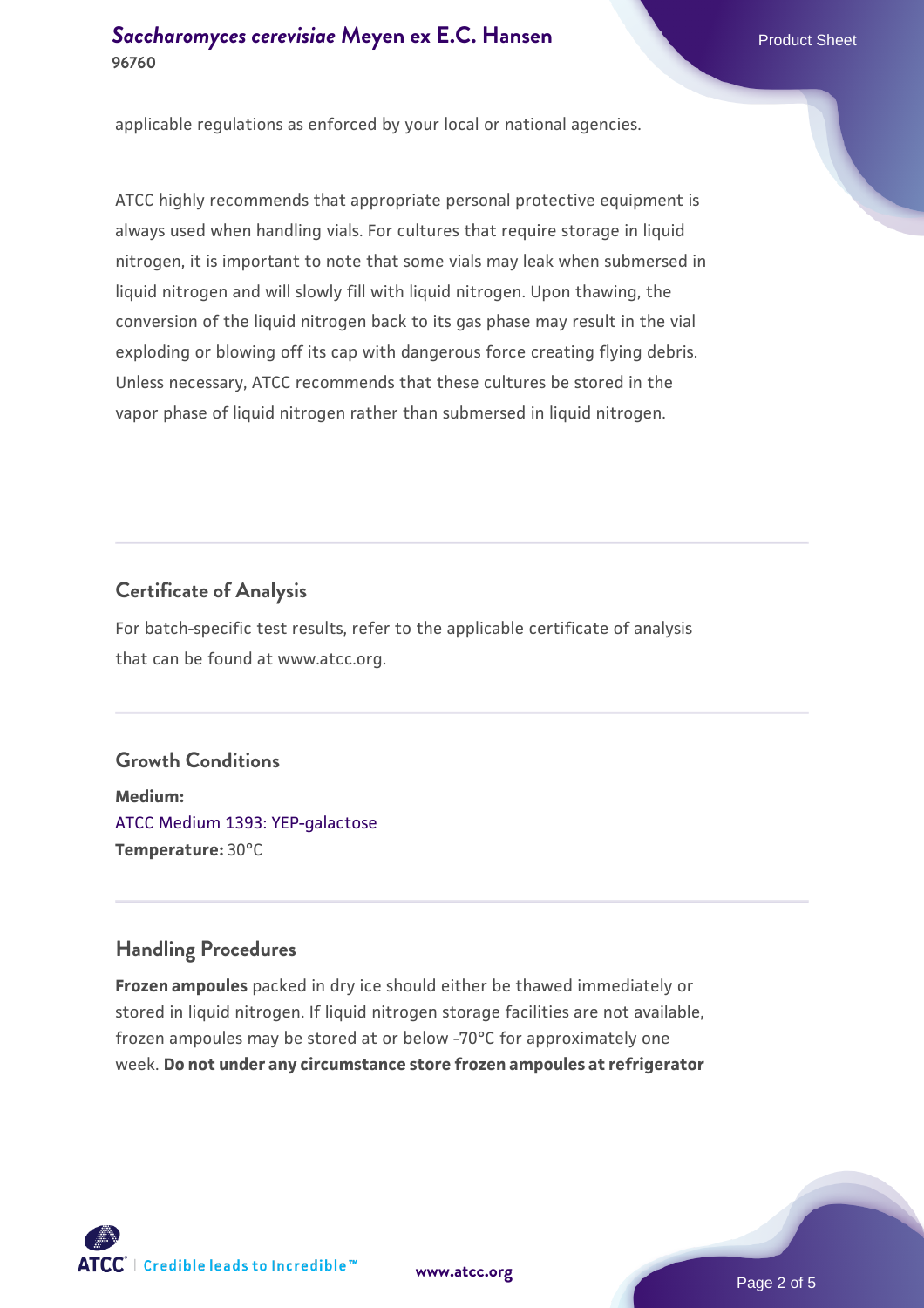#### **[Saccharomyces cerevisiae](https://www.atcc.org/products/96760)** [Meyen ex E.C. Hansen](https://www.atcc.org/products/96760) **96760**

applicable regulations as enforced by your local or national agencies.

ATCC highly recommends that appropriate personal protective equipment is always used when handling vials. For cultures that require storage in liquid nitrogen, it is important to note that some vials may leak when submersed in liquid nitrogen and will slowly fill with liquid nitrogen. Upon thawing, the conversion of the liquid nitrogen back to its gas phase may result in the vial exploding or blowing off its cap with dangerous force creating flying debris. Unless necessary, ATCC recommends that these cultures be stored in the vapor phase of liquid nitrogen rather than submersed in liquid nitrogen.

# **Certificate of Analysis**

For batch-specific test results, refer to the applicable certificate of analysis that can be found at www.atcc.org.

# **Growth Conditions**

**Medium:**  [ATCC Medium 1393: YEP-galactose](https://www.atcc.org/-/media/product-assets/documents/microbial-media-formulations/atcc-medium-1393.pdf?rev=43b5d180fb934a3b8f3160faa417c1c2) **Temperature:** 30°C

# **Handling Procedures**

**Frozen ampoules** packed in dry ice should either be thawed immediately or stored in liquid nitrogen. If liquid nitrogen storage facilities are not available, frozen ampoules may be stored at or below -70°C for approximately one week. **Do not under any circumstance store frozen ampoules at refrigerator**



**[www.atcc.org](http://www.atcc.org)**

Page 2 of 5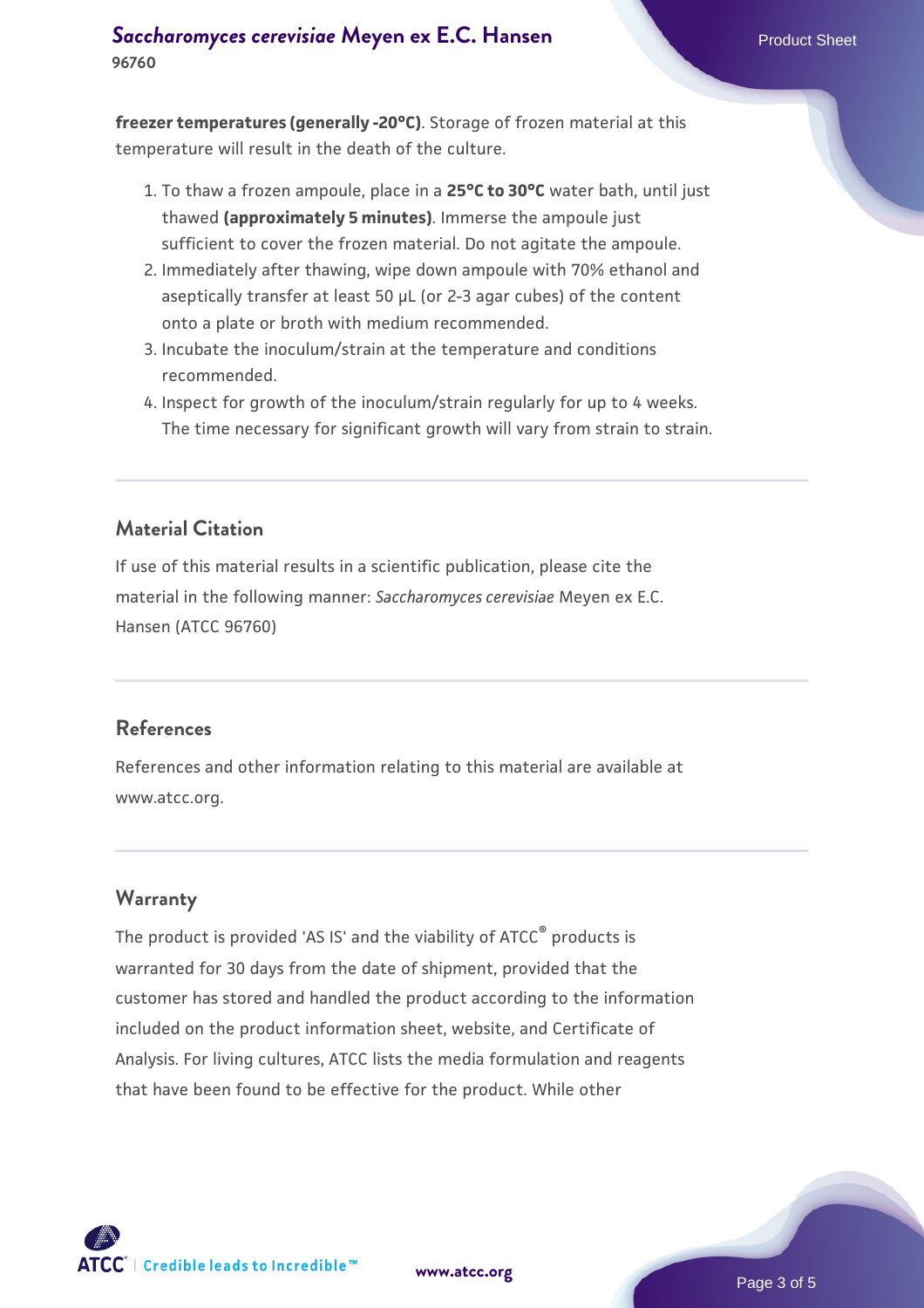**freezer temperatures (generally -20°C)**. Storage of frozen material at this temperature will result in the death of the culture.

- 1. To thaw a frozen ampoule, place in a **25°C to 30°C** water bath, until just thawed **(approximately 5 minutes)**. Immerse the ampoule just sufficient to cover the frozen material. Do not agitate the ampoule.
- 2. Immediately after thawing, wipe down ampoule with 70% ethanol and aseptically transfer at least 50 µL (or 2-3 agar cubes) of the content onto a plate or broth with medium recommended.
- 3. Incubate the inoculum/strain at the temperature and conditions recommended.
- 4. Inspect for growth of the inoculum/strain regularly for up to 4 weeks. The time necessary for significant growth will vary from strain to strain.

#### **Material Citation**

If use of this material results in a scientific publication, please cite the material in the following manner: *Saccharomyces cerevisiae* Meyen ex E.C. Hansen (ATCC 96760)

#### **References**

References and other information relating to this material are available at www.atcc.org.

#### **Warranty**

The product is provided 'AS IS' and the viability of ATCC<sup>®</sup> products is warranted for 30 days from the date of shipment, provided that the customer has stored and handled the product according to the information included on the product information sheet, website, and Certificate of Analysis. For living cultures, ATCC lists the media formulation and reagents that have been found to be effective for the product. While other



**[www.atcc.org](http://www.atcc.org)**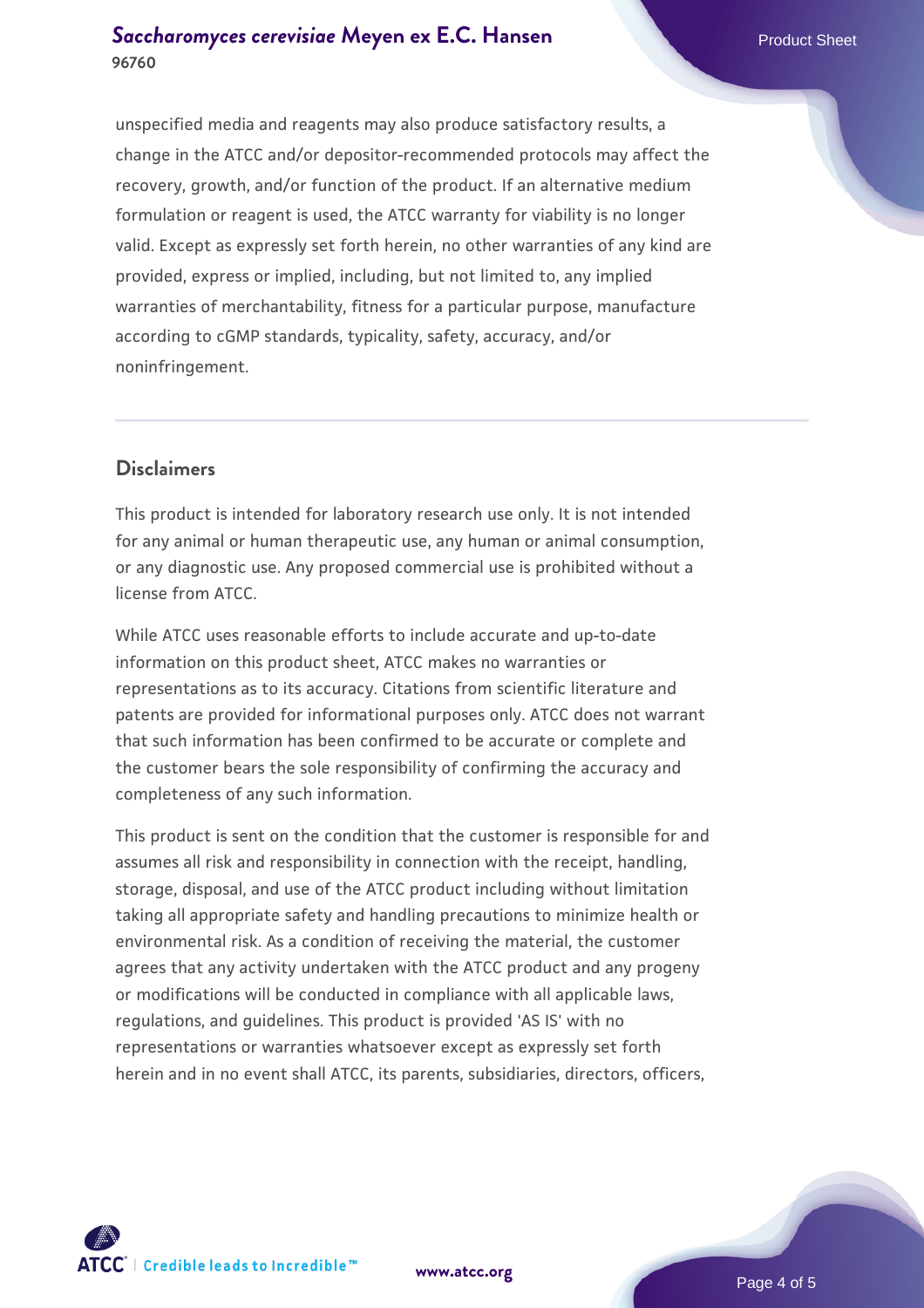#### **[Saccharomyces cerevisiae](https://www.atcc.org/products/96760)** [Meyen ex E.C. Hansen](https://www.atcc.org/products/96760) **96760**

unspecified media and reagents may also produce satisfactory results, a change in the ATCC and/or depositor-recommended protocols may affect the recovery, growth, and/or function of the product. If an alternative medium formulation or reagent is used, the ATCC warranty for viability is no longer valid. Except as expressly set forth herein, no other warranties of any kind are provided, express or implied, including, but not limited to, any implied warranties of merchantability, fitness for a particular purpose, manufacture according to cGMP standards, typicality, safety, accuracy, and/or noninfringement.

#### **Disclaimers**

This product is intended for laboratory research use only. It is not intended for any animal or human therapeutic use, any human or animal consumption, or any diagnostic use. Any proposed commercial use is prohibited without a license from ATCC.

While ATCC uses reasonable efforts to include accurate and up-to-date information on this product sheet, ATCC makes no warranties or representations as to its accuracy. Citations from scientific literature and patents are provided for informational purposes only. ATCC does not warrant that such information has been confirmed to be accurate or complete and the customer bears the sole responsibility of confirming the accuracy and completeness of any such information.

This product is sent on the condition that the customer is responsible for and assumes all risk and responsibility in connection with the receipt, handling, storage, disposal, and use of the ATCC product including without limitation taking all appropriate safety and handling precautions to minimize health or environmental risk. As a condition of receiving the material, the customer agrees that any activity undertaken with the ATCC product and any progeny or modifications will be conducted in compliance with all applicable laws, regulations, and guidelines. This product is provided 'AS IS' with no representations or warranties whatsoever except as expressly set forth herein and in no event shall ATCC, its parents, subsidiaries, directors, officers,



**[www.atcc.org](http://www.atcc.org)**

Page 4 of 5